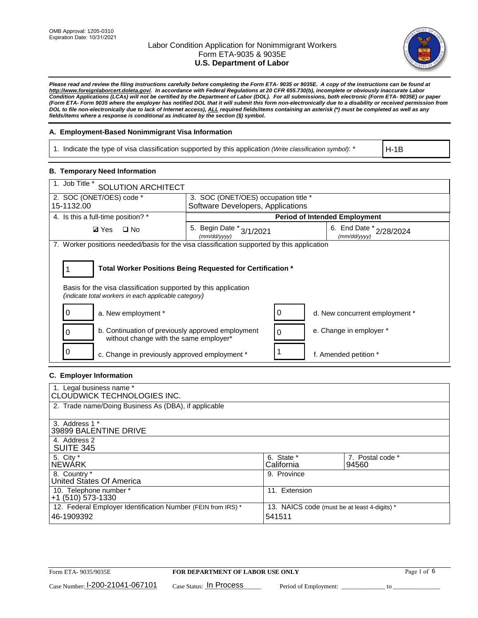

*Please read and review the filing instructions carefully before completing the Form ETA- 9035 or 9035E. A copy of the instructions can be found at [http://www.foreignlaborcert.doleta.gov/.](http://www.foreignlaborcert.doleta.gov/) In accordance with Federal Regulations at 20 CFR 655.730(b), incomplete or obviously inaccurate Labor Condition Applications (LCAs) will not be certified by the Department of Labor (DOL). For all submissions, both electronic (Form ETA- 9035E) or paper (Form ETA- Form 9035 where the employer has notified DOL that it will submit this form non-electronically due to a disability or received permission from DOL to file non-electronically due to lack of Internet access), ALL required fields/items containing an asterisk (\*) must be completed as well as any fields/items where a response is conditional as indicated by the section (§) symbol.* 

## **A. Employment-Based Nonimmigrant Visa Information**

1. Indicate the type of visa classification supported by this application *(Write classification symbol)*: \*

H-1B

## **B. Temporary Need Information**

| 1. Job Title *<br><b>SOLUTION ARCHITECT</b>                                                                                                                                           |                                          |                                      |                                         |  |  |  |  |
|---------------------------------------------------------------------------------------------------------------------------------------------------------------------------------------|------------------------------------------|--------------------------------------|-----------------------------------------|--|--|--|--|
| 2. SOC (ONET/OES) code *                                                                                                                                                              |                                          | 3. SOC (ONET/OES) occupation title * |                                         |  |  |  |  |
| 15-1132.00                                                                                                                                                                            | Software Developers, Applications        |                                      |                                         |  |  |  |  |
| 4. Is this a full-time position? *                                                                                                                                                    | <b>Period of Intended Employment</b>     |                                      |                                         |  |  |  |  |
| $\Box$ No<br><b>Ø</b> Yes                                                                                                                                                             | 5. Begin Date * 3/1/2021<br>(mm/dd/vvvv) |                                      | 6. End Date * 2/28/2024<br>(mm/dd/yyyy) |  |  |  |  |
| 7. Worker positions needed/basis for the visa classification supported by this application                                                                                            |                                          |                                      |                                         |  |  |  |  |
| Total Worker Positions Being Requested for Certification *<br>Basis for the visa classification supported by this application<br>(indicate total workers in each applicable category) |                                          |                                      |                                         |  |  |  |  |
| a. New employment *                                                                                                                                                                   |                                          | 0                                    | d. New concurrent employment *          |  |  |  |  |
| b. Continuation of previously approved employment<br>without change with the same employer*                                                                                           |                                          | 0                                    | e. Change in employer *                 |  |  |  |  |
| c. Change in previously approved employment *                                                                                                                                         |                                          |                                      | f. Amended petition *                   |  |  |  |  |

## **C. Employer Information**

| 1. Legal business name *<br>CLOUDWICK TECHNOLOGIES INC.                    |                                                        |                           |  |  |  |
|----------------------------------------------------------------------------|--------------------------------------------------------|---------------------------|--|--|--|
| 2. Trade name/Doing Business As (DBA), if applicable                       |                                                        |                           |  |  |  |
| 3. Address 1 *<br>39899 BALENTINE DRIVE                                    |                                                        |                           |  |  |  |
| 4. Address 2<br><b>SUITE 345</b>                                           |                                                        |                           |  |  |  |
| 5. City *<br><b>NEWARK</b>                                                 | 6. State *<br>California                               | 7. Postal code *<br>94560 |  |  |  |
| 8. Country *<br>United States Of America                                   | 9. Province                                            |                           |  |  |  |
| 10. Telephone number *<br>$+1$ (510) 573-1330                              | 11. Extension                                          |                           |  |  |  |
| 12. Federal Employer Identification Number (FEIN from IRS) *<br>46-1909392 | 13. NAICS code (must be at least 4-digits) *<br>541511 |                           |  |  |  |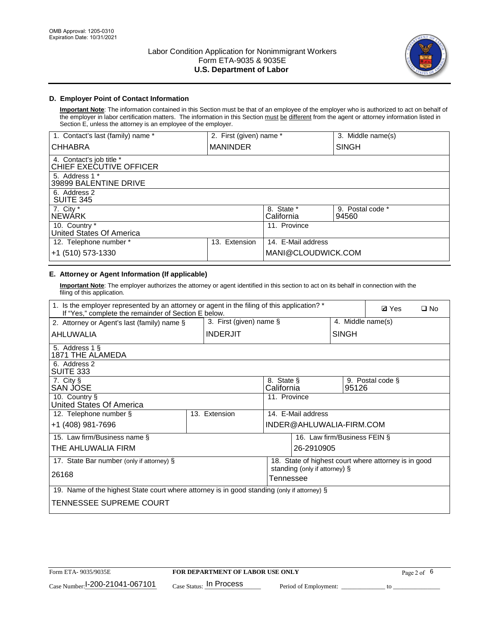

## **D. Employer Point of Contact Information**

**Important Note**: The information contained in this Section must be that of an employee of the employer who is authorized to act on behalf of the employer in labor certification matters. The information in this Section must be different from the agent or attorney information listed in Section E, unless the attorney is an employee of the employer.

| 1. Contact's last (family) name *                   | 2. First (given) name * |                          | 3. Middle name(s)         |
|-----------------------------------------------------|-------------------------|--------------------------|---------------------------|
| <b>CHHABRA</b>                                      | <b>MANINDER</b>         |                          | <b>SINGH</b>              |
| 4. Contact's job title *<br>CHIEF EXECUTIVE OFFICER |                         |                          |                           |
| 5. Address 1 *<br>39899 BALENTINE DRIVE             |                         |                          |                           |
| 6. Address 2<br><b>SUITE 345</b>                    |                         |                          |                           |
| 7. City *<br><b>NEWÁRK</b>                          |                         | 8. State *<br>California | 9. Postal code *<br>94560 |
| 10. Country *<br>United States Of America           |                         | 11. Province             |                           |
| 12. Telephone number *                              | Extension<br>13.        | 14. E-Mail address       |                           |
| +1 (510) 573-1330                                   |                         | MANI@CLOUDWICK.COM       |                           |

# **E. Attorney or Agent Information (If applicable)**

**Important Note**: The employer authorizes the attorney or agent identified in this section to act on its behalf in connection with the filing of this application.

| 1. Is the employer represented by an attorney or agent in the filing of this application? *<br>If "Yes," complete the remainder of Section E below. |                            | <b>Ø</b> Yes<br>$\Box$ No |                               |              |                                                      |
|-----------------------------------------------------------------------------------------------------------------------------------------------------|----------------------------|---------------------------|-------------------------------|--------------|------------------------------------------------------|
| 2. Attorney or Agent's last (family) name §                                                                                                         | 3. First (given) name $\S$ |                           |                               |              | 4. Middle name(s)                                    |
| AHLUWALIA                                                                                                                                           | <b>INDERJIT</b>            |                           |                               | <b>SINGH</b> |                                                      |
| 5. Address 1 §<br>1871 THE ALAMEDA                                                                                                                  |                            |                           |                               |              |                                                      |
| 6. Address 2<br>SUITE 333                                                                                                                           |                            |                           |                               |              |                                                      |
| 7. City §<br>SAN JOSE                                                                                                                               |                            | 8. State §<br>California  |                               | 95126        | 9. Postal code §                                     |
| 10. Country §<br>United States Of America                                                                                                           |                            | 11. Province              |                               |              |                                                      |
| 12. Telephone number §                                                                                                                              | 13. Extension              |                           | 14. E-Mail address            |              |                                                      |
| +1 (408) 981-7696                                                                                                                                   |                            |                           | INDER@AHLUWALIA-FIRM.COM      |              |                                                      |
| 15. Law firm/Business name §                                                                                                                        |                            |                           | 16. Law firm/Business FEIN §  |              |                                                      |
| THE AHLUWALIA FIRM                                                                                                                                  |                            |                           | 26-2910905                    |              |                                                      |
| 17. State Bar number (only if attorney) §                                                                                                           |                            |                           |                               |              | 18. State of highest court where attorney is in good |
| 26168                                                                                                                                               |                            | Tennessee                 | standing (only if attorney) § |              |                                                      |
| 19. Name of the highest State court where attorney is in good standing (only if attorney) §                                                         |                            |                           |                               |              |                                                      |
| TENNESSEE SUPREME COURT                                                                                                                             |                            |                           |                               |              |                                                      |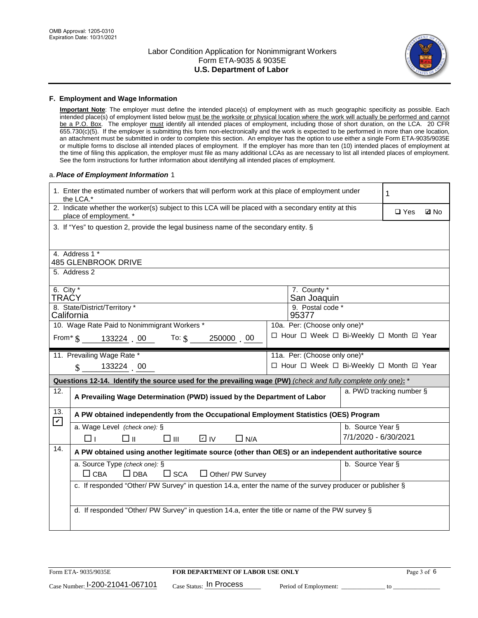

#### **F. Employment and Wage Information**

**Important Note**: The employer must define the intended place(s) of employment with as much geographic specificity as possible. Each intended place(s) of employment listed below must be the worksite or physical location where the work will actually be performed and cannot be a P.O. Box. The employer must identify all intended places of employment, including those of short duration, on the LCA. 20 CFR 655.730(c)(5). If the employer is submitting this form non-electronically and the work is expected to be performed in more than one location, an attachment must be submitted in order to complete this section. An employer has the option to use either a single Form ETA-9035/9035E or multiple forms to disclose all intended places of employment. If the employer has more than ten (10) intended places of employment at the time of filing this application, the employer must file as many additional LCAs as are necessary to list all intended places of employment. See the form instructions for further information about identifying all intended places of employment.

#### a.*Place of Employment Information* 1

|                                                                              | 1. Enter the estimated number of workers that will perform work at this place of employment under<br>the LCA.*                                                                                                          |  | 1                                        |                          |  |             |  |  |
|------------------------------------------------------------------------------|-------------------------------------------------------------------------------------------------------------------------------------------------------------------------------------------------------------------------|--|------------------------------------------|--------------------------|--|-------------|--|--|
|                                                                              | 2. Indicate whether the worker(s) subject to this LCA will be placed with a secondary entity at this<br>place of employment. *<br>3. If "Yes" to question 2, provide the legal business name of the secondary entity. § |  |                                          |                          |  | <b>Z</b> No |  |  |
|                                                                              |                                                                                                                                                                                                                         |  |                                          |                          |  |             |  |  |
|                                                                              | 4. Address 1 *<br><b>485 GLENBROOK DRIVE</b>                                                                                                                                                                            |  |                                          |                          |  |             |  |  |
|                                                                              | 5. Address 2                                                                                                                                                                                                            |  |                                          |                          |  |             |  |  |
|                                                                              | 6. City $*$<br>7. County *<br>TRAĆY<br>San Joaquin                                                                                                                                                                      |  |                                          |                          |  |             |  |  |
|                                                                              | 8. State/District/Territory *<br>9. Postal code *<br>California<br>95377                                                                                                                                                |  |                                          |                          |  |             |  |  |
| 10. Wage Rate Paid to Nonimmigrant Workers *<br>10a. Per: (Choose only one)* |                                                                                                                                                                                                                         |  |                                          |                          |  |             |  |  |
|                                                                              | From $\frac{133224}{5}$ . 00 To: \$<br>250000 00                                                                                                                                                                        |  | □ Hour □ Week □ Bi-Weekly □ Month ☑ Year |                          |  |             |  |  |
|                                                                              | 11. Prevailing Wage Rate *<br>11a. Per: (Choose only one)*                                                                                                                                                              |  |                                          |                          |  |             |  |  |
|                                                                              | 133224 00<br>$\mathbf{\$}$                                                                                                                                                                                              |  | □ Hour □ Week □ Bi-Weekly □ Month ☑ Year |                          |  |             |  |  |
|                                                                              | Questions 12-14. Identify the source used for the prevailing wage (PW) (check and fully complete only one): *                                                                                                           |  |                                          |                          |  |             |  |  |
| 12.                                                                          | A Prevailing Wage Determination (PWD) issued by the Department of Labor                                                                                                                                                 |  |                                          | a. PWD tracking number § |  |             |  |  |
| 13.                                                                          | A PW obtained independently from the Occupational Employment Statistics (OES) Program                                                                                                                                   |  |                                          |                          |  |             |  |  |
| $\blacktriangleright$                                                        | a. Wage Level (check one): §                                                                                                                                                                                            |  |                                          | b. Source Year §         |  |             |  |  |
|                                                                              | $\square$ $\square$<br>D IV<br>□ ॥<br>$\Box$ N/A<br>l 11                                                                                                                                                                |  |                                          | 7/1/2020 - 6/30/2021     |  |             |  |  |
| 14.                                                                          | A PW obtained using another legitimate source (other than OES) or an independent authoritative source                                                                                                                   |  |                                          |                          |  |             |  |  |
|                                                                              | a. Source Type (check one): §                                                                                                                                                                                           |  |                                          | b. Source Year §         |  |             |  |  |
|                                                                              | $\Box$ CBA<br>$\Box$ DBA<br>$\square$ SCA<br>$\Box$ Other/ PW Survey                                                                                                                                                    |  |                                          |                          |  |             |  |  |
|                                                                              | c. If responded "Other/ PW Survey" in question 14.a, enter the name of the survey producer or publisher §                                                                                                               |  |                                          |                          |  |             |  |  |
|                                                                              |                                                                                                                                                                                                                         |  |                                          |                          |  |             |  |  |
|                                                                              | d. If responded "Other/ PW Survey" in question 14.a, enter the title or name of the PW survey §                                                                                                                         |  |                                          |                          |  |             |  |  |
|                                                                              |                                                                                                                                                                                                                         |  |                                          |                          |  |             |  |  |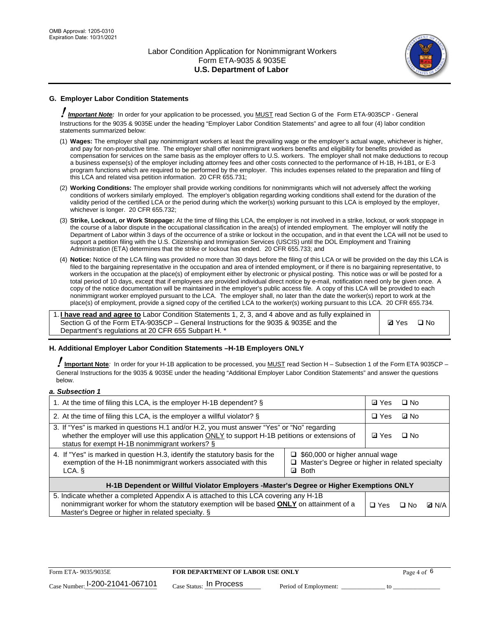

## **G. Employer Labor Condition Statements**

! *Important Note:* In order for your application to be processed, you MUST read Section G of the Form ETA-9035CP - General Instructions for the 9035 & 9035E under the heading "Employer Labor Condition Statements" and agree to all four (4) labor condition statements summarized below:

- (1) **Wages:** The employer shall pay nonimmigrant workers at least the prevailing wage or the employer's actual wage, whichever is higher, and pay for non-productive time. The employer shall offer nonimmigrant workers benefits and eligibility for benefits provided as compensation for services on the same basis as the employer offers to U.S. workers. The employer shall not make deductions to recoup a business expense(s) of the employer including attorney fees and other costs connected to the performance of H-1B, H-1B1, or E-3 program functions which are required to be performed by the employer. This includes expenses related to the preparation and filing of this LCA and related visa petition information. 20 CFR 655.731;
- (2) **Working Conditions:** The employer shall provide working conditions for nonimmigrants which will not adversely affect the working conditions of workers similarly employed. The employer's obligation regarding working conditions shall extend for the duration of the validity period of the certified LCA or the period during which the worker(s) working pursuant to this LCA is employed by the employer, whichever is longer. 20 CFR 655.732;
- (3) **Strike, Lockout, or Work Stoppage:** At the time of filing this LCA, the employer is not involved in a strike, lockout, or work stoppage in the course of a labor dispute in the occupational classification in the area(s) of intended employment. The employer will notify the Department of Labor within 3 days of the occurrence of a strike or lockout in the occupation, and in that event the LCA will not be used to support a petition filing with the U.S. Citizenship and Immigration Services (USCIS) until the DOL Employment and Training Administration (ETA) determines that the strike or lockout has ended. 20 CFR 655.733; and
- (4) **Notice:** Notice of the LCA filing was provided no more than 30 days before the filing of this LCA or will be provided on the day this LCA is filed to the bargaining representative in the occupation and area of intended employment, or if there is no bargaining representative, to workers in the occupation at the place(s) of employment either by electronic or physical posting. This notice was or will be posted for a total period of 10 days, except that if employees are provided individual direct notice by e-mail, notification need only be given once. A copy of the notice documentation will be maintained in the employer's public access file. A copy of this LCA will be provided to each nonimmigrant worker employed pursuant to the LCA. The employer shall, no later than the date the worker(s) report to work at the place(s) of employment, provide a signed copy of the certified LCA to the worker(s) working pursuant to this LCA. 20 CFR 655.734.

1. **I have read and agree to** Labor Condition Statements 1, 2, 3, and 4 above and as fully explained in Section G of the Form ETA-9035CP – General Instructions for the 9035 & 9035E and the Department's regulations at 20 CFR 655 Subpart H. \*

**Ø**Yes ロNo

## **H. Additional Employer Labor Condition Statements –H-1B Employers ONLY**

!**Important Note***:* In order for your H-1B application to be processed, you MUST read Section H – Subsection 1 of the Form ETA 9035CP – General Instructions for the 9035 & 9035E under the heading "Additional Employer Labor Condition Statements" and answer the questions below.

#### *a. Subsection 1*

| 1. At the time of filing this LCA, is the employer H-1B dependent? §                                                                                                                                                                           | ⊡ Yes                                                                                                         | □ No      |              |  |  |  |
|------------------------------------------------------------------------------------------------------------------------------------------------------------------------------------------------------------------------------------------------|---------------------------------------------------------------------------------------------------------------|-----------|--------------|--|--|--|
| 2. At the time of filing this LCA, is the employer a willful violator? $\S$                                                                                                                                                                    | $\Box$ Yes                                                                                                    | ⊡ No      |              |  |  |  |
| 3. If "Yes" is marked in questions H.1 and/or H.2, you must answer "Yes" or "No" regarding<br>whether the employer will use this application ONLY to support H-1B petitions or extensions of<br>status for exempt H-1B nonimmigrant workers? § | <b>☑</b> Yes                                                                                                  | $\Box$ No |              |  |  |  |
| 4. If "Yes" is marked in question H.3, identify the statutory basis for the<br>exemption of the H-1B nonimmigrant workers associated with this<br>LCA. §                                                                                       | $\Box$ \$60,000 or higher annual wage<br>□ Master's Degree or higher in related specialty<br><b>Both</b><br>☑ |           |              |  |  |  |
| H-1B Dependent or Willful Violator Employers -Master's Degree or Higher Exemptions ONLY                                                                                                                                                        |                                                                                                               |           |              |  |  |  |
| 5. Indicate whether a completed Appendix A is attached to this LCA covering any H-1B<br>nonimmigrant worker for whom the statutory exemption will be based <b>ONLY</b> on attainment of a<br>Master's Degree or higher in related specialty. § | $\Box$ Yes                                                                                                    | ⊟ No      | <b>D</b> N/A |  |  |  |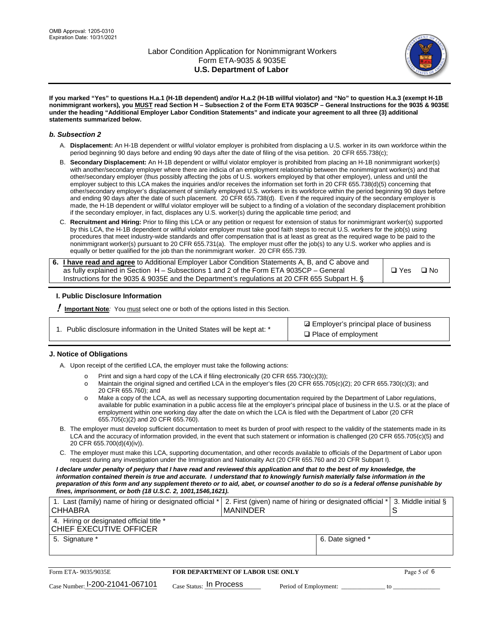

**If you marked "Yes" to questions H.a.1 (H-1B dependent) and/or H.a.2 (H-1B willful violator) and "No" to question H.a.3 (exempt H-1B nonimmigrant workers), you MUST read Section H – Subsection 2 of the Form ETA 9035CP – General Instructions for the 9035 & 9035E under the heading "Additional Employer Labor Condition Statements" and indicate your agreement to all three (3) additional statements summarized below.**

#### *b. Subsection 2*

- A. **Displacement:** An H-1B dependent or willful violator employer is prohibited from displacing a U.S. worker in its own workforce within the period beginning 90 days before and ending 90 days after the date of filing of the visa petition. 20 CFR 655.738(c);
- B. **Secondary Displacement:** An H-1B dependent or willful violator employer is prohibited from placing an H-1B nonimmigrant worker(s) with another/secondary employer where there are indicia of an employment relationship between the nonimmigrant worker(s) and that other/secondary employer (thus possibly affecting the jobs of U.S. workers employed by that other employer), unless and until the employer subject to this LCA makes the inquiries and/or receives the information set forth in 20 CFR 655.738(d)(5) concerning that other/secondary employer's displacement of similarly employed U.S. workers in its workforce within the period beginning 90 days before and ending 90 days after the date of such placement. 20 CFR 655.738(d). Even if the required inquiry of the secondary employer is made, the H-1B dependent or willful violator employer will be subject to a finding of a violation of the secondary displacement prohibition if the secondary employer, in fact, displaces any U.S. worker(s) during the applicable time period; and
- C. **Recruitment and Hiring:** Prior to filing this LCA or any petition or request for extension of status for nonimmigrant worker(s) supported by this LCA, the H-1B dependent or willful violator employer must take good faith steps to recruit U.S. workers for the job(s) using procedures that meet industry-wide standards and offer compensation that is at least as great as the required wage to be paid to the nonimmigrant worker(s) pursuant to 20 CFR 655.731(a). The employer must offer the job(s) to any U.S. worker who applies and is equally or better qualified for the job than the nonimmigrant worker. 20 CFR 655.739.

| 6. I have read and agree to Additional Employer Labor Condition Statements A, B, and C above and |       |           |
|--------------------------------------------------------------------------------------------------|-------|-----------|
| as fully explained in Section H – Subsections 1 and 2 of the Form ETA 9035CP – General           | □ Yes | $\Box$ No |
| Instructions for the 9035 & 9035E and the Department's regulations at 20 CFR 655 Subpart H. §    |       |           |

## **I. Public Disclosure Information**

! **Important Note***:* You must select one or both of the options listed in this Section.

| 1. Public disclosure information in the United States will be kept at: * |  |  |  |  |  |  |
|--------------------------------------------------------------------------|--|--|--|--|--|--|
|--------------------------------------------------------------------------|--|--|--|--|--|--|

**sqrt** Employer's principal place of business □ Place of employment

## **J. Notice of Obligations**

A. Upon receipt of the certified LCA, the employer must take the following actions:

- o Print and sign a hard copy of the LCA if filing electronically (20 CFR 655.730(c)(3));<br>
Maintain the original signed and certified LCA in the employer's files (20 CFR 655.7
- Maintain the original signed and certified LCA in the employer's files (20 CFR 655.705(c)(2); 20 CFR 655.730(c)(3); and 20 CFR 655.760); and
- o Make a copy of the LCA, as well as necessary supporting documentation required by the Department of Labor regulations, available for public examination in a public access file at the employer's principal place of business in the U.S. or at the place of employment within one working day after the date on which the LCA is filed with the Department of Labor (20 CFR 655.705(c)(2) and 20 CFR 655.760).
- B. The employer must develop sufficient documentation to meet its burden of proof with respect to the validity of the statements made in its LCA and the accuracy of information provided, in the event that such statement or information is challenged (20 CFR 655.705(c)(5) and 20 CFR 655.700(d)(4)(iv)).
- C. The employer must make this LCA, supporting documentation, and other records available to officials of the Department of Labor upon request during any investigation under the Immigration and Nationality Act (20 CFR 655.760 and 20 CFR Subpart I).

*I declare under penalty of perjury that I have read and reviewed this application and that to the best of my knowledge, the*  information contained therein is true and accurate. I understand that to knowingly furnish materially false information in the *preparation of this form and any supplement thereto or to aid, abet, or counsel another to do so is a federal offense punishable by fines, imprisonment, or both (18 U.S.C. 2, 1001,1546,1621).*

| 1. Last (family) name of hiring or designated official *<br>ICHHABRA |                                         | I MANINDER |                       | 2. First (given) name of hiring or designated official * | S  | 3. Middle initial § |
|----------------------------------------------------------------------|-----------------------------------------|------------|-----------------------|----------------------------------------------------------|----|---------------------|
| 4. Hiring or designated official title *<br> CHIEF EXECUTIVE OFFICER |                                         |            |                       |                                                          |    |                     |
| 5. Signature *                                                       |                                         |            |                       | 6. Date signed *                                         |    |                     |
|                                                                      |                                         |            |                       |                                                          |    |                     |
| Form ETA-9035/9035E                                                  | <b>FOR DEPARTMENT OF LABOR USE ONLY</b> |            |                       |                                                          |    | Page 5 of 6         |
| Case Number: 1-200-21041-067101                                      | $Case$ Status: In Process               |            | Period of Employment: |                                                          | tΩ |                     |

| Form ETA-9035/9035E             | <b>FOR DEPARTMENT OF LABOR USE ONLY</b> |                       |  |
|---------------------------------|-----------------------------------------|-----------------------|--|
| Case Number: 1-200-21041-067101 | $_{\text{Case Status:}}$ In Process     | Period of Employment: |  |